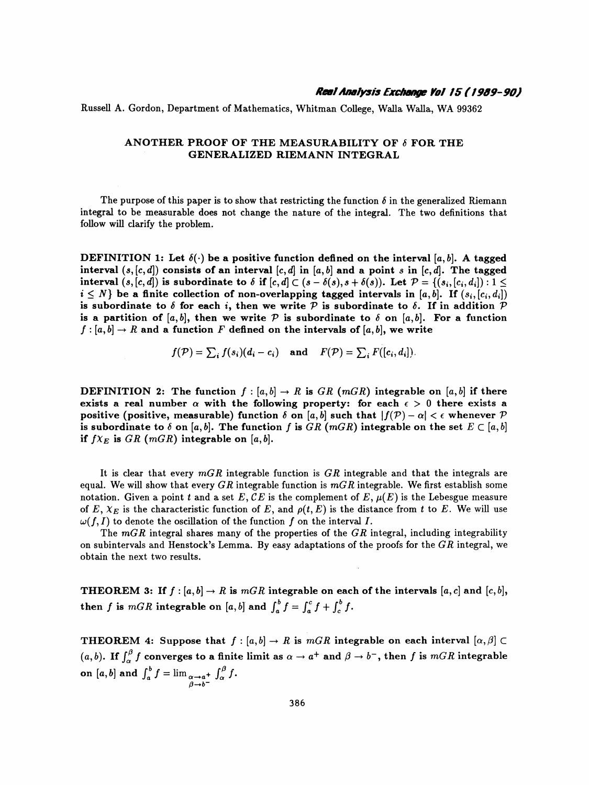Russell A. Gordon, Department of Mathematics, Whitman College, Walla Walla, WA 99362

## ANOTHER PROOF OF THE MEASURABILITY OF  $\delta$  for the GENERALIZED RIEMANN INTEGRAL

The purpose of this paper is to show that restricting the function  $\delta$  in the generalized Riemann integral to be measurable does not change the nature of the integral. The two definitions that follow will clarify the problem.

DEFINITION 1: Let  $\delta(\cdot)$  be a positive function defined on the interval [a, b]. A tagged interval  $(s, [c, d])$  consists of an interval  $[c, d]$  in  $[a, b]$  and a point s in  $[c, d]$ . The tagged interval  $(s, [c, d])$  is subordinate to  $\delta$  if  $[c, d] \subset (s - \delta(s), s + \delta(s))$ . Let  $\mathcal{P} = \{(s_i, [c_i, d_i]) : 1 \leq$  $i \leq N$  be a finite collection of non-overlapping tagged intervals in [a, b]. If  $(s_i, [c_i, d_i])$ is subordinate to  $\delta$  for each i, then we write  $\mathcal P$  is subordinate to  $\delta$ . If in addition  $\mathcal P$ is a partition of [a, b], then we write  $P$  is subordinate to  $\delta$  on [a, b]. For a function  $f : [a, b] \to R$  and a function F defined on the intervals of  $[a, b]$ , we write

$$
f(\mathcal{P}) = \sum_i f(s_i)(d_i - c_i)
$$
 and  $F(\mathcal{P}) = \sum_i F([c_i, d_i]).$ 

**DEFINITION** 2: The function  $f : [a, b] \to R$  is GR (mGR) integrable on [a, b] if there exists a real number  $\alpha$  with the following property: for each  $\epsilon > 0$  there exists a positive (positive, measurable) function  $\delta$  on [a, b] such that  $|f(\mathcal{P}) - \alpha| < \epsilon$  whenever  $\mathcal P$ is subordinate to  $\delta$  on [a, b]. The function f is GR (mGR) integrable on the set  $E \subset [a, b]$ if  $f_{X_E}$  is  $GR$  (mGR) integrable on [a, b].

It is clear that every  $mGR$  integrable function is  $GR$  integrable and that the integrals are equal. We will show that every GR integrable function is  $mGR$  integrable. We first establish some notation. Given a point t and a set E, CE is the complement of E,  $\mu(E)$  is the Lebesgue measure of E,  $X_E$  is the characteristic function of E, and  $\rho(t,E)$  is the distance from t to E. We will use  $\omega(f, I)$  to denote the oscillation of the function f on the interval I.

The  $mGR$  integral shares many of the properties of the  $GR$  integral, including integrability on subintervals and Henstock's Lemma. By easy adaptations of the proofs for the  $GR$  integral, we obtain the next two results.

THEOREM 3: If  $f : [a, b] \to R$  is  $mGR$  integrable on each of the intervals  $[a, c]$  and  $[c, b]$ , then f is  $mGR$  integrable on [a, b] and  $\int_a^b f = \int_a^c f + \int_c^b f$ .

THEOREM 4: Suppose that  $f : [a, b] \to R$  is  $mGR$  integrable on each interval  $[\alpha, \beta] \subset$ (a, b). If  $\int_{\alpha}^{\beta} f$  converges to a finite limit as  $\alpha \to a^+$  and  $\beta \to b^-$ , then f is mGR integrable on  $[a, b]$  and  $\int_a f = \lim_{\substack{\alpha \to a^+ \\ \beta \to b^-}} f(x) f(x)$ .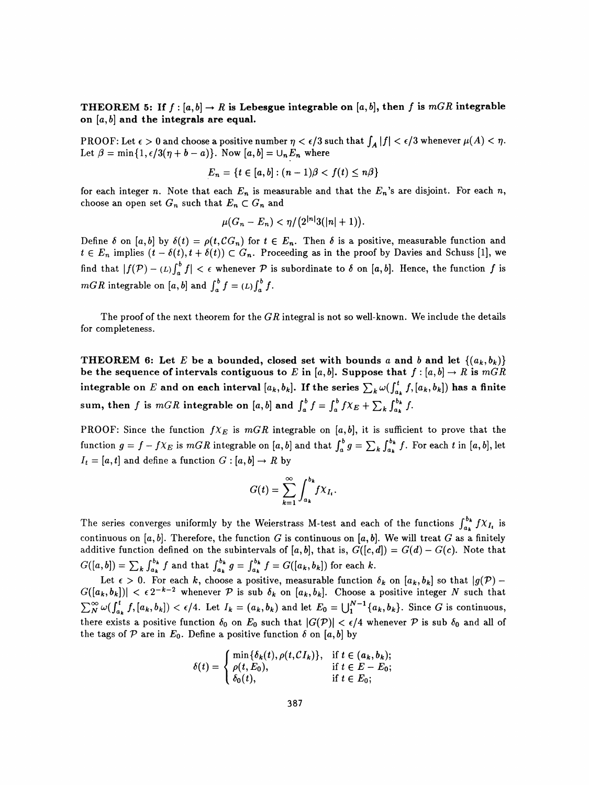## THEOREM 5: If  $f : [a, b] \to R$  is Lebesgue integrable on  $[a, b]$ , then f is mGR integrable on  $[a, b]$  and the integrals are equal.

PROOF: Let  $\epsilon > 0$  and choose a positive number  $\eta < \epsilon/3$  such that  $\int_A |f| < \epsilon/3$  whenever  $\mu(A) < \eta$ . Let  $\beta = \min\{1, \epsilon/3(\eta + b - a)\}\$ . Now  $[a, b] = \bigcup_n E_n$  where

$$
E_n = \{t \in [a,b] : (n-1)\beta < f(t) \leq n\beta\}
$$

for each integer n. Note that each  $E_n$  is measurable and that the  $E_n$ 's are disjoint. For each n, choose an open set  $G_n$  such that  $E_n \subset G_n$  and

$$
\mu(G_n - E_n) < \eta / \big( 2^{|n|} 3(|n|+1) \big).
$$

Define 6 on [a, b] by  $o(t) = \rho(t, C G_n)$  for  $t \in E_n$ . Then 6 is a positive, measurable function and  $t \in E_n$  implies  $(t - o(t), t + o(t)) \subset G_n$ . Proceeding as in the proof by Davies and Schuss [1], find that  $|f(\mathcal{P}) - L\int_a^b f| < \epsilon$  whenever  $\mathcal P$  is subordinate to  $\delta$  on [a, b]. Hence, the function f is mGR integrable on [a, b] and  $\int_a^b f = (L) \int_a^b f$ .

The proof of the next theorem for the  $GR$  integral is not so well-known. We include the details for completeness.

THEOREM 6: Let E be a bounded, closed set with bounds a and b and let  $\{(a_k,b_k)\}$ be the sequence of intervals contiguous to E in [a, b]. Suppose that  $f : [a, b] \to R$  is  $mGR$ integrable on E and on each interval  $[a_k, b_k]$ . If the series  $\sum_k \omega(f_{a_k}^t f, [a_k, b_k])$  has a finite sum, then f is mGR integrable on [a, b] and  $\int_a^b f = \int_a^b f \chi_E + \sum_k \int_{a_k}^{b_k} f$ .

PROOF: Since the function  $f_{X_E}$  is  $mGR$  integrable on [a, b], it is sufficient to prove that the function  $g = f - f\chi_E$  is  $mGR$  integrable on [a, b] and that  $\int_a^b g = \sum_k \int_{a_k}^{b_k} f$ . For each t in [a, b], let  $I_t = [a, t]$  and define a function  $G : [a, b] \rightarrow R$  by

$$
G(t) = \sum_{k=1}^{\infty} \int_{a_k}^{b_k} f \chi_{I_t}.
$$

The series converges uniformly by the Weierstrass M-test and each of the functions  $\int_{a_1}^{b_k} f X_{I_k}$  is continuous on [a, b]. Therefore, the function G is continuous on [a, b]. We will treat G as a finitely additive function defined on the subintervals of [a, b], that is,  $G([c, d]) = G(d) - G(c)$ . Note that  $G([u,v]) = \sum_{k} \int_{a_k} f(x) \, dx$  and that  $\int_{a_k} g - \int_{a_k} f(x) \, dx$ .

Let  $\epsilon > 0$ . For each  $k$ , choose a positive, measurable function  $\delta_k$  on  $[a_k, b_k]$  so that  $|g|$  $G([a_k, b_k])| < \epsilon 2^{-k-2}$  whenever P is sub  $\delta_k$  on  $[a_k, b_k]$ . Choose a positive integer N such that  $\sum_{N}^{\infty} \omega(\int_{a_k}^{t} f,[a_k,b_k]) < \epsilon/4$ . Let  $I_k = (a_k,b_k)$  and let  $E_0 = \bigcup_{1}^{N-1} \{a_k,b_k\}$ . Since G is continuous, there exists a positive function  $\delta_0$  on  $E_0$  such that  $|G(\mathcal{P})| < \epsilon/4$  whenever  $\mathcal P$  is sub  $\delta_0$  and all of the tags of P are in  $E_0$ . Define a positive function  $\delta$  on [a, b] by

$$
\delta(t) = \begin{cases} \min\{\delta_k(t), \rho(t, C I_k)\}, & \text{if } t \in (a_k, b_k); \\ \rho(t, E_0), & \text{if } t \in E - E_0; \\ \delta_0(t), & \text{if } t \in E_0; \end{cases}
$$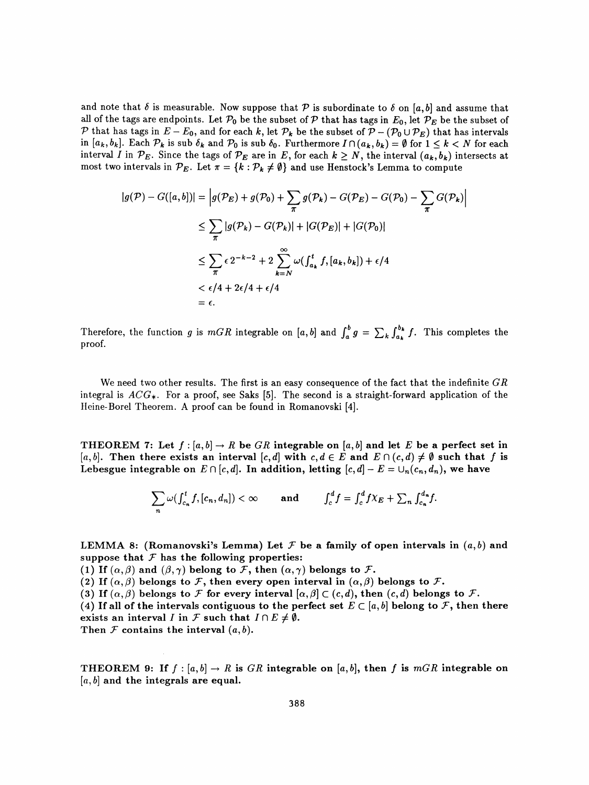and note that  $\delta$  is measurable. Now suppose that P is subordinate to  $\delta$  on [a, b] and assume that all of the tags are endpoints. Let  $\mathcal{P}_0$  be the subset of  $\mathcal P$  that has tags in  $E_0$ , let  $\mathcal{P}_E$  be the subset of P that has tags in  $E - E_0$ , and for each k, let  $\mathcal{P}_k$  be the subset of  $\mathcal{P} - (\mathcal{P}_0 \cup \mathcal{P}_E)$  that has intervals in  $[a_k, b_k]$ . Each  $\mathcal{P}_k$  is sub  $\delta_k$  and  $\mathcal{P}_0$  is sub  $\delta_0$ . Furthermore  $I \cap (a_k, b_k) = \emptyset$  for  $1 \leq k < N$  for each interval I in  $\mathcal{P}_E$ . Since the tags of  $\mathcal{P}_E$  are in E, for each  $k \geq N$ , the interval  $(a_k, b_k)$  intersects at most two intervals in  $\mathcal{P}_E$ . Let  $\pi = \{k : \mathcal{P}_k \neq \emptyset\}$  and use Henstock's Lemma to compute

$$
|g(\mathcal{P}) - G([a, b])| = \left| g(\mathcal{P}_E) + g(\mathcal{P}_0) + \sum_{\pi} g(\mathcal{P}_k) - G(\mathcal{P}_E) - G(\mathcal{P}_0) - \sum_{\pi} G(\mathcal{P}_k) \right|
$$
  
\n
$$
\leq \sum_{\pi} |g(\mathcal{P}_k) - G(\mathcal{P}_k)| + |G(\mathcal{P}_E)| + |G(\mathcal{P}_0)|
$$
  
\n
$$
\leq \sum_{\pi} \epsilon 2^{-k-2} + 2 \sum_{k=N}^{\infty} \omega(f_{a_k}^t f, [a_k, b_k]) + \epsilon/4
$$
  
\n
$$
< \epsilon/4 + 2\epsilon/4 + \epsilon/4
$$
  
\n
$$
= \epsilon.
$$

Therefore, the function g is  $mGR$  integrable on [a, b] and  $\int_a^b g = \sum_k \int_{a_k}^{b_k} f$ . This completes the proof.

We need two other results. The first is an easy consequence of the fact that the indefinite  $GR$ integral is  $ACG_{*}$ . For a proof, see Saks [5]. The second is a straight-forward application of the Heine- Borei Theorem. A proof can be found in Romanovski [4].

THEOREM 7: Let  $f : [a, b] \to R$  be GR integrable on  $[a, b]$  and let E be a perfect set in [a, b]. Then there exists an interval [c, d] with  $c, d \in E$  and  $E \cap (c, d) \neq \emptyset$  such that f is Lebesgue integrable on  $E \cap [c,d]$ . In addition, letting  $[c,d] - E = \bigcup_n (c_n,d_n)$ , we have

$$
\sum_{n} \omega(f_{c_n}^t f,[c_n,d_n]) < \infty \quad \text{and} \quad \int_c^d f = \int_c^d f \chi_E + \sum_n \int_{c_n}^{d_n} f.
$$

LEMMA 8: (Romanovski's Lemma) Let  $\mathcal F$  be a family of open intervals in  $(a, b)$  and suppose that  $\mathcal F$  has the following properties:

(1) If  $(\alpha, \beta)$  and  $(\beta, \gamma)$  belong to F, then  $(\alpha, \gamma)$  belongs to F.

(2) If  $(\alpha, \beta)$  belongs to F, then every open interval in  $(\alpha, \beta)$  belongs to F.

(3) If  $(\alpha, \beta)$  belongs to F for every interval  $[\alpha, \beta] \subset (c, d)$ , then  $(c, d)$  belongs to F.

(4) If all of the intervals contiguous to the perfect set  $E \subset [a, b]$  belong to F, then there exists an interval I in F such that  $I \cap E \neq \emptyset$ .

Then  $F$  contains the interval  $(a, b)$ .

THEOREM 9: If  $f : [a, b] \to R$  is GR integrable on  $[a, b]$ , then f is mGR integrable on  $[a, b]$  and the integrals are equal.